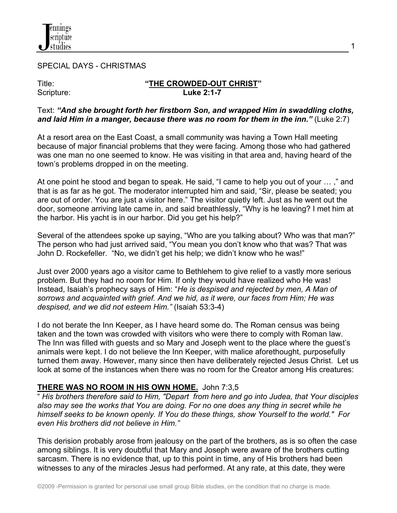

SPECIAL DAYS - CHRISTMAS

#### Title: **"THE CROWDED-OUT CHRIST"** Scripture: **Luke 2:1-7**

1

#### Text: *"And she brought forth her firstborn Son, and wrapped Him in swaddling cloths, and laid Him in a manger, because there was no room for them in the inn."* (Luke 2:7)

At a resort area on the East Coast, a small community was having a Town Hall meeting because of major financial problems that they were facing. Among those who had gathered was one man no one seemed to know. He was visiting in that area and, having heard of the town's problems dropped in on the meeting.

At one point he stood and began to speak. He said, "I came to help you out of your … ," and that is as far as he got. The moderator interrupted him and said, "Sir, please be seated; you are out of order. You are just a visitor here." The visitor quietly left. Just as he went out the door, someone arriving late came in, and said breathlessly, "Why is he leaving? I met him at the harbor. His yacht is in our harbor. Did you get his help?"

Several of the attendees spoke up saying, "Who are you talking about? Who was that man?" The person who had just arrived said, "You mean you don't know who that was? That was John D. Rockefeller. "No, we didn't get his help; we didn't know who he was!"

Just over 2000 years ago a visitor came to Bethlehem to give relief to a vastly more serious problem. But they had no room for Him. If only they would have realized who He was! Instead, Isaiah's prophecy says of Him: "*He is despised and rejected by men, A Man of sorrows and acquainted with grief. And we hid, as it were, our faces from Him; He was despised, and we did not esteem Him."* (Isaiah 53:3-4)

I do not berate the Inn Keeper, as I have heard some do. The Roman census was being taken and the town was crowded with visitors who were there to comply with Roman law. The Inn was filled with guests and so Mary and Joseph went to the place where the guest's animals were kept. I do not believe the Inn Keeper, with malice aforethought, purposefully turned them away. However, many since then have deliberately rejected Jesus Christ. Let us look at some of the instances when there was no room for the Creator among His creatures:

## **THERE WAS NO ROOM IN HIS OWN HOME.** John 7:3,5

" *His brothers therefore said to Him, "Depart from here and go into Judea, that Your disciples also may see the works that You are doing. For no one does any thing in secret while he himself seeks to be known openly. If You do these things, show Yourself to the world." For even His brothers did not believe in Him."*

This derision probably arose from jealousy on the part of the brothers, as is so often the case among siblings. It is very doubtful that Mary and Joseph were aware of the brothers cutting sarcasm. There is no evidence that, up to this point in time, any of His brothers had been witnesses to any of the miracles Jesus had performed. At any rate, at this date, they were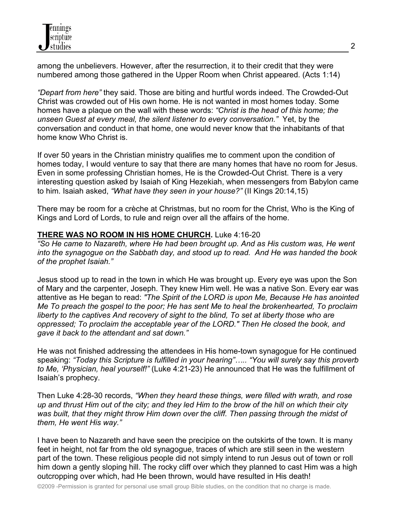among the unbelievers. However, after the resurrection, it to their credit that they were numbered among those gathered in the Upper Room when Christ appeared. (Acts 1:14)

*"Depart from here"* they said. Those are biting and hurtful words indeed. The Crowded-Out Christ was crowded out of His own home. He is not wanted in most homes today. Some homes have a plaque on the wall with these words: *"Christ is the head of this home; the unseen Guest at every meal, the silent listener to every conversation."* Yet, by the conversation and conduct in that home, one would never know that the inhabitants of that home know Who Christ is.

If over 50 years in the Christian ministry qualifies me to comment upon the condition of homes today, I would venture to say that there are many homes that have no room for Jesus. Even in some professing Christian homes, He is the Crowded-Out Christ. There is a very interesting question asked by Isaiah of King Hezekiah, when messengers from Babylon came to him. Isaiah asked, *"What have they seen in your house?"* (II Kings 20:14,15)

There may be room for a crèche at Christmas, but no room for the Christ, Who is the King of Kings and Lord of Lords, to rule and reign over all the affairs of the home.

## **THERE WAS NO ROOM IN HIS HOME CHURCH.** Luke 4:16-20

*"So He came to Nazareth, where He had been brought up. And as His custom was, He went into the synagogue on the Sabbath day, and stood up to read. And He was handed the book of the prophet Isaiah."*

Jesus stood up to read in the town in which He was brought up. Every eye was upon the Son of Mary and the carpenter, Joseph. They knew Him well. He was a native Son. Every ear was attentive as He began to read: *"The Spirit of the LORD is upon Me, Because He has anointed Me To preach the gospel to the poor; He has sent Me to heal the brokenhearted, To proclaim liberty to the captives And recovery of sight to the blind, To set at liberty those who are oppressed; To proclaim the acceptable year of the LORD." Then He closed the book, and gave it back to the attendant and sat down."*

He was not finished addressing the attendees in His home-town synagogue for He continued speaking: *"Today this Scripture is fulfilled in your hearing"….. "You will surely say this proverb to Me, 'Physician, heal yourself!"* (Luke 4:21-23) He announced that He was the fulfillment of Isaiah's prophecy.

Then Luke 4:28-30 records, *"When they heard these things, were filled with wrath, and rose up and thrust Him out of the city; and they led Him to the brow of the hill on which their city was built, that they might throw Him down over the cliff. Then passing through the midst of them, He went His way."*

I have been to Nazareth and have seen the precipice on the outskirts of the town. It is many feet in height, not far from the old synagogue, traces of which are still seen in the western part of the town. These religious people did not simply intend to run Jesus out of town or roll him down a gently sloping hill. The rocky cliff over which they planned to cast Him was a high outcropping over which, had He been thrown, would have resulted in His death!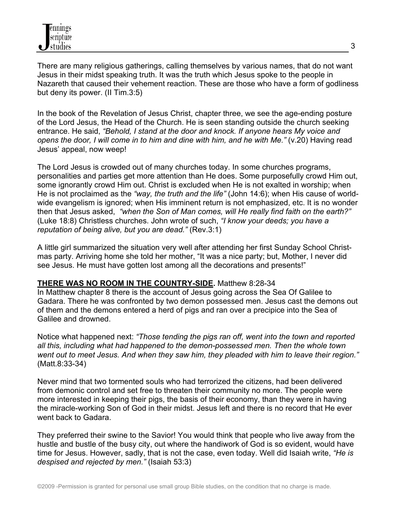There are many religious gatherings, calling themselves by various names, that do not want Jesus in their midst speaking truth. It was the truth which Jesus spoke to the people in Nazareth that caused their vehement reaction. These are those who have a form of godliness but deny its power. (II Tim.3:5)

In the book of the Revelation of Jesus Christ, chapter three, we see the age-ending posture of the Lord Jesus, the Head of the Church. He is seen standing outside the church seeking entrance. He said, *"Behold, I stand at the door and knock. If anyone hears My voice and opens the door, I will come in to him and dine with him, and he with Me."* (v.20) Having read Jesus' appeal, now weep!

The Lord Jesus is crowded out of many churches today. In some churches programs, personalities and parties get more attention than He does. Some purposefully crowd Him out, some ignorantly crowd Him out. Christ is excluded when He is not exalted in worship; when He is not proclaimed as the *"way, the truth and the life"* (John 14:6); when His cause of worldwide evangelism is ignored; when His imminent return is not emphasized, etc. It is no wonder then that Jesus asked, *"when the Son of Man comes, will He really find faith on the earth?"* (Luke 18:8) Christless churches. John wrote of such, *"I know your deeds; you have a reputation of being alive, but you are dead."* (Rev.3:1)

A little girl summarized the situation very well after attending her first Sunday School Christmas party. Arriving home she told her mother, "It was a nice party; but, Mother, I never did see Jesus. He must have gotten lost among all the decorations and presents!"

## **THERE WAS NO ROOM IN THE COUNTRY-SIDE.** Matthew 8:28-34

In Matthew chapter 8 there is the account of Jesus going across the Sea Of Galilee to Gadara. There he was confronted by two demon possessed men. Jesus cast the demons out of them and the demons entered a herd of pigs and ran over a precipice into the Sea of Galilee and drowned.

Notice what happened next: *"Those tending the pigs ran off, went into the town and reported all this, including what had happened to the demon-possessed men. Then the whole town went out to meet Jesus. And when they saw him, they pleaded with him to leave their region."* (Matt.8:33-34)

Never mind that two tormented souls who had terrorized the citizens, had been delivered from demonic control and set free to threaten their community no more. The people were more interested in keeping their pigs, the basis of their economy, than they were in having the miracle-working Son of God in their midst. Jesus left and there is no record that He ever went back to Gadara.

They preferred their swine to the Savior! You would think that people who live away from the hustle and bustle of the busy city, out where the handiwork of God is so evident, would have time for Jesus. However, sadly, that is not the case, even today. Well did Isaiah write, *"He is despised and rejected by men."* (Isaiah 53:3)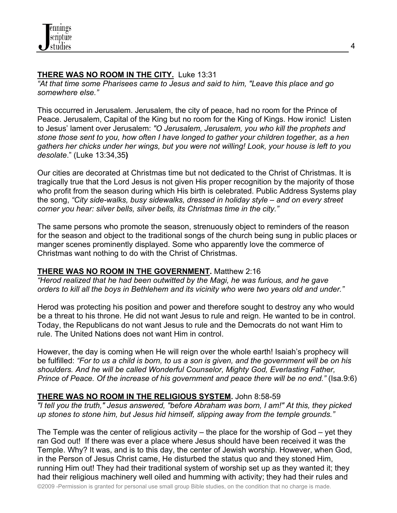# **THERE WAS NO ROOM IN THE CITY.** Luke 13:31

*"At that time some Pharisees came to Jesus and said to him, "Leave this place and go somewhere else."*

This occurred in Jerusalem. Jerusalem, the city of peace, had no room for the Prince of Peace. Jerusalem, Capital of the King but no room for the King of Kings. How ironic! Listen to Jesus' lament over Jerusalem: *"O Jerusalem, Jerusalem, you who kill the prophets and stone those sent to you, how often I have longed to gather your children together, as a hen gathers her chicks under her wings, but you were not willing! Look, your house is left to you desolate*." (Luke 13:34,35**)**

Our cities are decorated at Christmas time but not dedicated to the Christ of Christmas. It is tragically true that the Lord Jesus is not given His proper recognition by the majority of those who profit from the season during which His birth is celebrated. Public Address Systems play the song, *"City side-walks, busy sidewalks, dressed in holiday style – and on every street corner you hear: silver bells, silver bells, its Christmas time in the city."*

The same persons who promote the season, strenuously object to reminders of the reason for the season and object to the traditional songs of the church being sung in public places or manger scenes prominently displayed. Some who apparently love the commerce of Christmas want nothing to do with the Christ of Christmas.

## **THERE WAS NO ROOM IN THE GOVERNMENT.** Matthew 2:16

*"Herod realized that he had been outwitted by the Magi, he was furious, and he gave orders to kill all the boys in Bethlehem and its vicinity who were two years old and under."*

Herod was protecting his position and power and therefore sought to destroy any who would be a threat to his throne. He did not want Jesus to rule and reign. He wanted to be in control. Today, the Republicans do not want Jesus to rule and the Democrats do not want Him to rule. The United Nations does not want Him in control.

However, the day is coming when He will reign over the whole earth! Isaiah's prophecy will be fulfilled: *"For to us a child is born, to us a son is given, and the government will be on his shoulders. And he will be called Wonderful Counselor, Mighty God, Everlasting Father, Prince of Peace. Of the increase of his government and peace there will be no end."* (Isa.9:6)

## **THERE WAS NO ROOM IN THE RELIGIOUS SYSTEM.** John 8:58-59

*"I tell you the truth," Jesus answered, "before Abraham was born, I am!" At this, they picked up stones to stone him, but Jesus hid himself, slipping away from the temple grounds."*

The Temple was the center of religious activity – the place for the worship of God – yet they ran God out! If there was ever a place where Jesus should have been received it was the Temple. Why? It was, and is to this day, the center of Jewish worship. However, when God, in the Person of Jesus Christ came, He disturbed the status quo and they stoned Him, running Him out! They had their traditional system of worship set up as they wanted it; they had their religious machinery well oiled and humming with activity; they had their rules and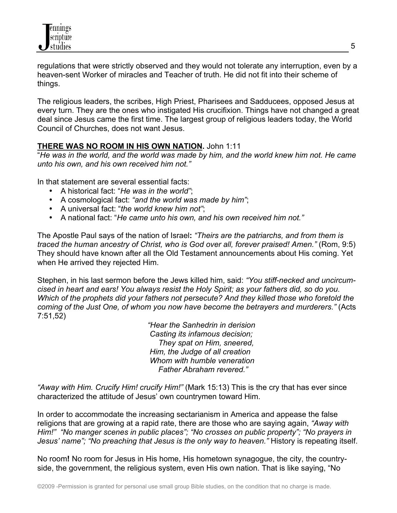

regulations that were strictly observed and they would not tolerate any interruption, even by a heaven-sent Worker of miracles and Teacher of truth. He did not fit into their scheme of things.

The religious leaders, the scribes, High Priest, Pharisees and Sadducees, opposed Jesus at every turn. They are the ones who instigated His crucifixion. Things have not changed a great deal since Jesus came the first time. The largest group of religious leaders today, the World Council of Churches, does not want Jesus.

### **THERE WAS NO ROOM IN HIS OWN NATION.** John 1:11

"*He was in the world, and the world was made by him, and the world knew him not. He came unto his own, and his own received him not."*

In that statement are several essential facts:

- A historical fact: "*He was in the world"*;
- A cosmological fact: *"and the world was made by him"*;
- A universal fact: "*the world knew him not"*;
- A national fact: "*He came unto his own, and his own received him not."*

The Apostle Paul says of the nation of Israel**:** *"Theirs are the patriarchs, and from them is traced the human ancestry of Christ, who is God over all, forever praised! Amen."* (Rom, 9:5) They should have known after all the Old Testament announcements about His coming. Yet when He arrived they rejected Him.

Stephen, in his last sermon before the Jews killed him, said: *"You stiff-necked and uncircumcised in heart and ears! You always resist the Holy Spirit; as your fathers did, so do you. Which of the prophets did your fathers not persecute? And they killed those who foretold the coming of the Just One, of whom you now have become the betrayers and murderers."* (Acts 7:51,52)

> *"Hear the Sanhedrin in derision Casting its infamous decision; They spat on Him, sneered, Him, the Judge of all creation Whom with humble veneration Father Abraham revered."*

*"Away with Him. Crucify Him! crucify Him!"* (Mark 15:13) This is the cry that has ever since characterized the attitude of Jesus' own countrymen toward Him.

In order to accommodate the increasing sectarianism in America and appease the false religions that are growing at a rapid rate, there are those who are saying again, *"Away with Him!" "No manger scenes in public places"; "No crosses on public property"; "No prayers in Jesus' name"; "No preaching that Jesus is the only way to heaven."* History is repeating itself.

No room**!** No room for Jesus in His home, His hometown synagogue, the city, the countryside, the government, the religious system, even His own nation. That is like saying, "No